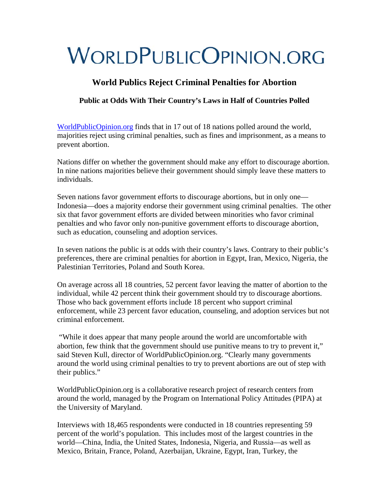## **World Publics Reject Criminal Penalties for Abortion**

### **Public at Odds With Their Country's Laws in Half of Countries Polled**

[WorldPublicOpinion.org](http://www.worldpublicopinion.org/) finds that in 17 out of 18 nations polled around the world, majorities reject using criminal penalties, such as fines and imprisonment, as a means to prevent abortion.

Nations differ on whether the government should make any effort to discourage abortion. In nine nations majorities believe their government should simply leave these matters to individuals.

Seven nations favor government efforts to discourage abortions, but in only one— Indonesia—does a majority endorse their government using criminal penalties. The other six that favor government efforts are divided between minorities who favor criminal penalties and who favor only non-punitive government efforts to discourage abortion, such as education, counseling and adoption services.

In seven nations the public is at odds with their country's laws. Contrary to their public's preferences, there are criminal penalties for abortion in Egypt, Iran, Mexico, Nigeria, the Palestinian Territories, Poland and South Korea.

On average across all 18 countries, 52 percent favor leaving the matter of abortion to the individual, while 42 percent think their government should try to discourage abortions. Those who back government efforts include 18 percent who support criminal enforcement, while 23 percent favor education, counseling, and adoption services but not criminal enforcement.

 "While it does appear that many people around the world are uncomfortable with abortion, few think that the government should use punitive means to try to prevent it," said Steven Kull, director of WorldPublicOpinion.org. "Clearly many governments around the world using criminal penalties to try to prevent abortions are out of step with their publics."

WorldPublicOpinion.org is a collaborative research project of research centers from around the world, managed by the Program on International Policy Attitudes (PIPA) at the University of Maryland.

Interviews with 18,465 respondents were conducted in 18 countries representing 59 percent of the world's population. This includes most of the largest countries in the world—China, India, the United States, Indonesia, Nigeria, and Russia—as well as Mexico, Britain, France, Poland, Azerbaijan, Ukraine, Egypt, Iran, Turkey, the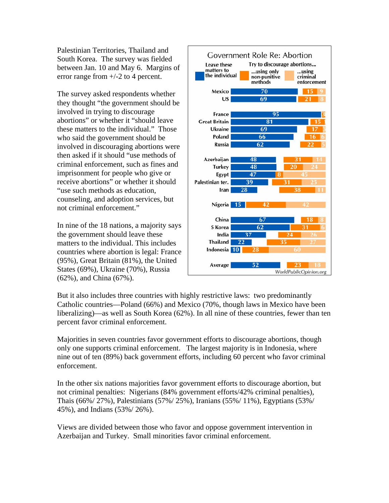Palestinian Territories, Thailand and South Korea. The survey was fielded between Jan. 10 and May 6. Margins of error range from +/-2 to 4 percent.

The survey asked respondents whether they thought "the government should be involved in trying to discourage abortions" or whether it "should leave these matters to the individual." Those who said the government should be involved in discouraging abortions were then asked if it should "use methods of criminal enforcement, such as fines and imprisonment for people who give or receive abortions" or whether it should "use such methods as education, counseling, and adoption services, but not criminal enforcement."

In nine of the 18 nations, a majority says the government should leave these matters to the individual. This includes countries where abortion is legal: France (95%), Great Britain (81%), the United States (69%), Ukraine (70%), Russia (62%), and China (67%).



But it also includes three countries with highly restrictive laws: two predominantly Catholic countries—Poland (66%) and Mexico (70%, though laws in Mexico have been liberalizing)—as well as South Korea (62%). In all nine of these countries, fewer than ten percent favor criminal enforcement.

Majorities in seven countries favor government efforts to discourage abortions, though only one supports criminal enforcement. The largest majority is in Indonesia, where nine out of ten (89%) back government efforts, including 60 percent who favor criminal enforcement.

In the other six nations majorities favor government efforts to discourage abortion, but not criminal penalties: Nigerians (84% government efforts/42% criminal penalties), Thais (66%/ 27%), Palestinians (57%/ 25%), Iranians (55%/ 11%), Egyptians (53%/ 45%), and Indians (53%/ 26%).

Views are divided between those who favor and oppose government intervention in Azerbaijan and Turkey. Small minorities favor criminal enforcement.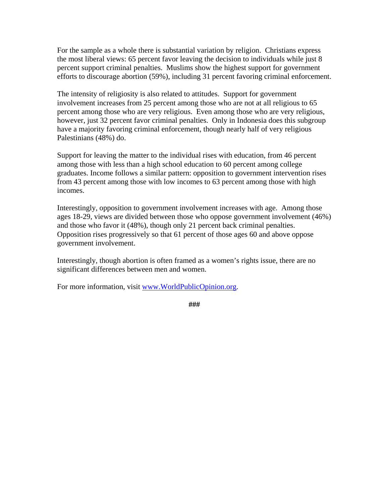For the sample as a whole there is substantial variation by religion. Christians express the most liberal views: 65 percent favor leaving the decision to individuals while just 8 percent support criminal penalties. Muslims show the highest support for government efforts to discourage abortion (59%), including 31 percent favoring criminal enforcement.

The intensity of religiosity is also related to attitudes. Support for government involvement increases from 25 percent among those who are not at all religious to 65 percent among those who are very religious. Even among those who are very religious, however, just 32 percent favor criminal penalties. Only in Indonesia does this subgroup have a majority favoring criminal enforcement, though nearly half of very religious Palestinians (48%) do.

Support for leaving the matter to the individual rises with education, from 46 percent among those with less than a high school education to 60 percent among college graduates. Income follows a similar pattern: opposition to government intervention rises from 43 percent among those with low incomes to 63 percent among those with high incomes.

Interestingly, opposition to government involvement increases with age. Among those ages 18-29, views are divided between those who oppose government involvement (46%) and those who favor it (48%), though only 21 percent back criminal penalties. Opposition rises progressively so that 61 percent of those ages 60 and above oppose government involvement.

Interestingly, though abortion is often framed as a women's rights issue, there are no significant differences between men and women.

For more information, visit [www.WorldPublicOpinion.org](http://www.worldpublicopinion.org/).

**###**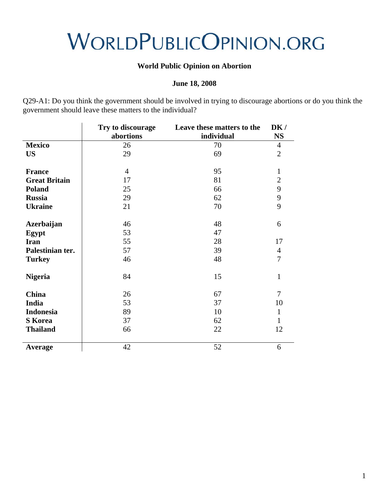### **World Public Opinion on Abortion**

### **June 18, 2008**

Q29-A1: Do you think the government should be involved in trying to discourage abortions or do you think the government should leave these matters to the individual?

|                                   | Try to discourage<br>abortions | Leave these matters to the<br>individual | DK/<br><b>NS</b> |
|-----------------------------------|--------------------------------|------------------------------------------|------------------|
| <b>Mexico</b>                     | 26                             | 70                                       | $\overline{4}$   |
| <b>US</b>                         | 29                             | 69                                       | $\overline{2}$   |
| <b>France</b>                     | $\overline{4}$                 | 95                                       | $\mathbf{1}$     |
| <b>Great Britain</b>              | 17                             | 81                                       | $\overline{2}$   |
| <b>Poland</b>                     | 25                             | 66                                       | 9                |
| <b>Russia</b>                     | 29                             | 62                                       | 9                |
| <b>Ukraine</b>                    | 21                             | 70                                       | 9                |
| <b>Azerbaijan</b><br><b>Egypt</b> | 46<br>53                       | 48<br>47                                 | 6                |
| <b>Iran</b>                       | 55                             | 28                                       | 17               |
| Palestinian ter.                  | 57                             | 39                                       | $\overline{4}$   |
| <b>Turkey</b>                     | 46                             | 48                                       | 7                |
| <b>Nigeria</b>                    | 84                             | 15                                       | $\mathbf{1}$     |
| <b>China</b>                      | 26                             | 67                                       | 7                |
| India                             | 53                             | 37                                       | 10               |
| <b>Indonesia</b>                  | 89                             | 10                                       | $\mathbf{1}$     |
| <b>S</b> Korea                    | 37                             | 62                                       | 1                |
| <b>Thailand</b>                   | 66                             | 22                                       | 12               |
| Average                           | 42                             | 52                                       | 6                |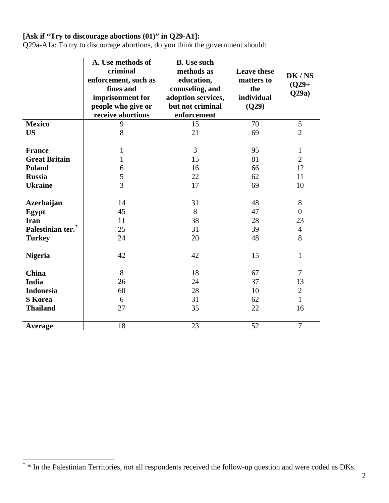## **[Ask if "Try to discourage abortions (01)" in Q29-A1]:**

Q29a-A1a: To try to discourage abortions, do you think the government should:

|                               | A. Use methods of<br>criminal<br>enforcement, such as<br>fines and<br>imprisonment for<br>people who give or<br>receive abortions | <b>B.</b> Use such<br>methods as<br>education,<br>counseling, and<br>adoption services,<br>but not criminal<br>enforcement | <b>Leave these</b><br>matters to<br>the<br>individual<br>(Q29) | DK/NS<br>$(Q29 +$<br>Q29a) |
|-------------------------------|-----------------------------------------------------------------------------------------------------------------------------------|----------------------------------------------------------------------------------------------------------------------------|----------------------------------------------------------------|----------------------------|
| <b>Mexico</b>                 | 9                                                                                                                                 | 15                                                                                                                         | 70                                                             | $\sqrt{5}$                 |
| <b>US</b>                     | 8                                                                                                                                 | 21                                                                                                                         | 69                                                             | $\overline{2}$             |
|                               |                                                                                                                                   |                                                                                                                            |                                                                |                            |
| <b>France</b>                 | 1                                                                                                                                 | $\overline{3}$                                                                                                             | 95                                                             | $\mathbf{1}$               |
| <b>Great Britain</b>          | $\mathbf{1}$                                                                                                                      | 15                                                                                                                         | 81                                                             | $\overline{2}$             |
| <b>Poland</b>                 | 6                                                                                                                                 | 16                                                                                                                         | 66                                                             | 12                         |
| <b>Russia</b>                 | 5                                                                                                                                 | 22                                                                                                                         | 62                                                             | 11                         |
| <b>Ukraine</b>                | 3                                                                                                                                 | 17                                                                                                                         | 69                                                             | 10                         |
|                               |                                                                                                                                   |                                                                                                                            |                                                                |                            |
| <b>Azerbaijan</b>             | 14                                                                                                                                | 31                                                                                                                         | 48                                                             | 8                          |
| Egypt                         | 45                                                                                                                                | 8                                                                                                                          | 47                                                             | $\overline{0}$             |
| <b>Iran</b>                   | 11                                                                                                                                | 38                                                                                                                         | 28                                                             | 23                         |
| Palestinian ter. <sup>*</sup> | 25                                                                                                                                | 31                                                                                                                         | 39                                                             | $\overline{4}$             |
| <b>Turkey</b>                 | 24                                                                                                                                | 20                                                                                                                         | 48                                                             | 8                          |
|                               |                                                                                                                                   |                                                                                                                            |                                                                |                            |
| <b>Nigeria</b>                | 42                                                                                                                                | 42                                                                                                                         | 15                                                             | $\mathbf{1}$               |
|                               |                                                                                                                                   |                                                                                                                            |                                                                |                            |
| <b>China</b>                  | 8                                                                                                                                 | 18                                                                                                                         | 67                                                             | 7                          |
| India                         | 26                                                                                                                                | 24                                                                                                                         | 37                                                             | 13                         |
| <b>Indonesia</b>              | 60                                                                                                                                | 28                                                                                                                         | 10                                                             | $\mathbf{2}$               |
| <b>S</b> Korea                | 6                                                                                                                                 | 31                                                                                                                         | 62                                                             | $\mathbf{1}$               |
| <b>Thailand</b>               | 27                                                                                                                                | 35                                                                                                                         | 22                                                             | 16                         |
|                               |                                                                                                                                   |                                                                                                                            |                                                                |                            |
| Average                       | 18                                                                                                                                | 23                                                                                                                         | 52                                                             | $\overline{7}$             |

<span id="page-4-0"></span><sup>\* \*</sup> In the Palestinian Territories, not all respondents received the follow-up question and were coded as DKs.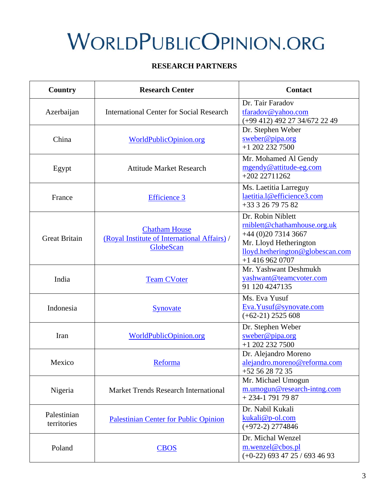### **RESEARCH PARTNERS**

| <b>Country</b>             | <b>Research Center</b>                                                            | <b>Contact</b>                                                                                                                                             |  |
|----------------------------|-----------------------------------------------------------------------------------|------------------------------------------------------------------------------------------------------------------------------------------------------------|--|
| Azerbaijan                 | <b>International Center for Social Research</b>                                   | Dr. Tair Faradov<br>tfaradov@yahoo.com<br>(+99 412) 492 27 34/672 22 49                                                                                    |  |
| China                      | WorldPublicOpinion.org                                                            | Dr. Stephen Weber<br>sweber@pipa.org<br>$+1$ 202 232 7500                                                                                                  |  |
| Egypt                      | <b>Attitude Market Research</b>                                                   | Mr. Mohamed Al Gendy<br>mgendy@attitude-eg.com<br>$+20222711262$                                                                                           |  |
| France                     | <b>Efficience 3</b>                                                               | Ms. Laetitia Larreguy<br>laetitia.l@efficience3.com<br>+33 3 26 79 75 82                                                                                   |  |
| <b>Great Britain</b>       | <b>Chatham House</b><br>(Royal Institute of International Affairs) /<br>GlobeScan | Dr. Robin Niblett<br>rniblett@chathamhouse.org.uk<br>$+44(0)2073143667$<br>Mr. Lloyd Hetherington<br>lloyd.hetherington@globescan.com<br>$+1$ 416 962 0707 |  |
| India                      | <b>Team CVoter</b>                                                                | Mr. Yashwant Deshmukh<br>yashwant@teamcvoter.com<br>91 120 4247135                                                                                         |  |
| Indonesia                  | Synovate                                                                          | Ms. Eva Yusuf<br>Eva. Yusuf@synovate.com<br>$(+62-21)$ 2525 608                                                                                            |  |
| Iran                       | WorldPublicOpinion.org                                                            | Dr. Stephen Weber<br>sweber@pipa.org<br>$+12022327500$                                                                                                     |  |
| Mexico                     | Reforma                                                                           | Dr. Alejandro Moreno<br>alejandro.moreno@reforma.com<br>+52 56 28 72 35                                                                                    |  |
| Nigeria                    | <b>Market Trends Research International</b>                                       | Mr. Michael Umogun<br>m.umogun@research-intng.com<br>$+234-17917987$                                                                                       |  |
| Palestinian<br>territories | <b>Palestinian Center for Public Opinion</b>                                      | Dr. Nabil Kukali<br>kukali@p-ol.com<br>$(+972-2)$ 2774846                                                                                                  |  |
| Poland                     | <b>CBOS</b>                                                                       | Dr. Michal Wenzel<br>m.wenzel@cbos.pl<br>$(+0-22)$ 693 47 25 / 693 46 93                                                                                   |  |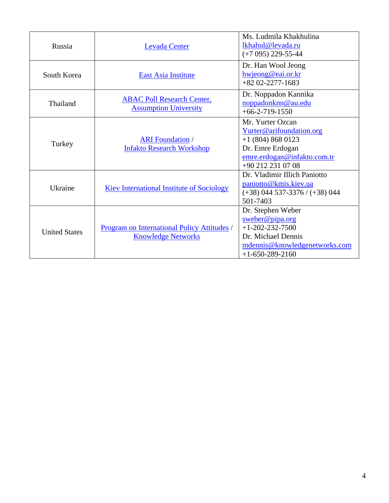| Russia               | <b>Levada Center</b>                                                     | Ms. Ludmila Khakhulina<br>lkhahul@levada.ru<br>$(+7095)$ 229-55-44                                                                             |
|----------------------|--------------------------------------------------------------------------|------------------------------------------------------------------------------------------------------------------------------------------------|
| South Korea          | <b>East Asia Institute</b>                                               | Dr. Han Wool Jeong<br>hwjeong@eai.or.kr<br>$+82$ 02-2277-1683                                                                                  |
| Thailand             | <b>ABAC Poll Research Center,</b><br><b>Assumption University</b>        | Dr. Noppadon Kannika<br>noppadonknn@au.edu<br>$+66-2-719-1550$                                                                                 |
| Turkey               | <b>ARI</b> Foundation /<br><b>Infakto Research Workshop</b>              | Mr. Yurter Ozcan<br>Yurter@arifoundation.org<br>$+1$ (804) 868 0123<br>Dr. Emre Erdogan<br>emre.erdogan@infakto.com.tr<br>$+90$ 212 231 07 08  |
| Ukraine              | <b>Kiev International Institute of Sociology</b>                         | Dr. Vladimir Illich Paniotto<br>paniotto@kmis.kiev.ua<br>$(+38)$ 044 537-3376 / $(+38)$ 044<br>501-7403                                        |
| <b>United States</b> | Program on International Policy Attitudes /<br><b>Knowledge Networks</b> | Dr. Stephen Weber<br>$s$ weber@pipa.org<br>$+1 - 202 - 232 - 7500$<br>Dr. Michael Dennis<br>mdennis@knowledgenetworks.com<br>$+1-650-289-2160$ |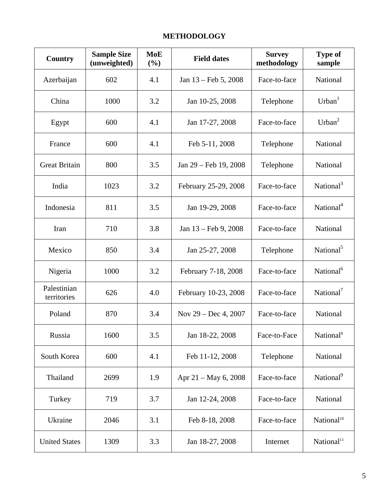## **METHODOLOGY**

| Country                    | <b>Sample Size</b><br>(unweighted) | <b>MoE</b><br>(%) | <b>Field dates</b>             | <b>Survey</b><br>methodology | <b>Type of</b><br>sample |
|----------------------------|------------------------------------|-------------------|--------------------------------|------------------------------|--------------------------|
| Azerbaijan                 | 602                                | 4.1               | Jan $13 - \text{Feb } 5, 2008$ | Face-to-face                 | National                 |
| China                      | 1000                               | 3.2               | Jan 10-25, 2008                | Telephone                    | Urban <sup>1</sup>       |
| Egypt                      | 600                                | 4.1               | Jan 17-27, 2008                | Face-to-face                 | Urban <sup>2</sup>       |
| France                     | 600                                | 4.1               | Feb 5-11, 2008                 | Telephone                    | National                 |
| <b>Great Britain</b>       | 800                                | 3.5               | Jan 29 – Feb 19, 2008          | Telephone                    | National                 |
| India                      | 1023                               | 3.2               | February 25-29, 2008           | Face-to-face                 | National <sup>3</sup>    |
| Indonesia                  | 811                                | 3.5               | Jan 19-29, 2008                | Face-to-face                 | National <sup>4</sup>    |
| Iran                       | 710                                | 3.8               | Jan 13 – Feb 9, 2008           | Face-to-face                 | National                 |
| Mexico                     | 850                                | 3.4               | Jan 25-27, 2008                | Telephone                    | National <sup>5</sup>    |
| Nigeria                    | 1000                               | 3.2               | February 7-18, 2008            | Face-to-face                 | National <sup>6</sup>    |
| Palestinian<br>territories | 626                                | 4.0               | February 10-23, 2008           | Face-to-face                 | National <sup>7</sup>    |
| Poland                     | 870                                | 3.4               | Nov $29 - Dec 4, 2007$         | Face-to-face                 | National                 |
| Russia                     | 1600                               | 3.5               | Jan 18-22, 2008                | Face-to-Face                 | National <sup>8</sup>    |
| South Korea                | 600                                | 4.1               | Feb 11-12, 2008                | Telephone                    | National                 |
| Thailand                   | 2699                               | 1.9               | Apr $21 - May 6, 2008$         | Face-to-face                 | National <sup>9</sup>    |
| Turkey                     | 719                                | 3.7               | Jan 12-24, 2008                | Face-to-face                 | National                 |
| Ukraine                    | 2046                               | 3.1               | Feb 8-18, 2008                 | Face-to-face                 | National <sup>10</sup>   |
| <b>United States</b>       | 1309                               | 3.3               | Jan 18-27, 2008                | Internet                     | National <sup>11</sup>   |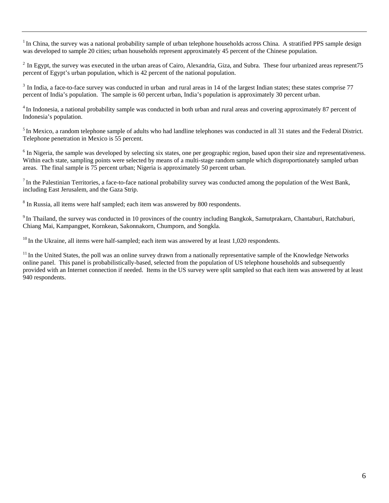$1$ In China, the survey was a national probability sample of urban telephone households across China. A stratified PPS sample design was developed to sample 20 cities; urban households represent approximately 45 percent of the Chinese population.

 $2 \text{ In Egypt, the survey was executed in the urban areas of Cairo, Alexandria, Giza, and Subra. These four urbanized areas represent}$ percent of Egypt's urban population, which is 42 percent of the national population.

<sup>3</sup> In India, a face-to-face survey was conducted in urban and rural areas in 14 of the largest Indian states; these states comprise 77 percent of India's population. The sample is 60 percent urban, India's population is approximately 30 percent urban.

<sup>4</sup> In Indonesia, a national probability sample was conducted in both urban and rural areas and covering approximately 87 percent of Indonesia's population.

<sup>5</sup> In Mexico, a random telephone sample of adults who had landline telephones was conducted in all 31 states and the Federal District. Telephone penetration in Mexico is 55 percent.

 $6$  In Nigeria, the sample was developed by selecting six states, one per geographic region, based upon their size and representativeness. Within each state, sampling points were selected by means of a multi-stage random sample which disproportionately sampled urban areas. The final sample is 75 percent urban; Nigeria is approximately 50 percent urban.

 $<sup>7</sup>$  In the Palestinian Territories, a face-to-face national probability survey was conducted among the population of the West Bank,</sup> including East Jerusalem, and the Gaza Strip.

 $8 \text{ In Russia, all items were half sampled; each item was answered by 800 respondents.}$ 

9 In Thailand, the survey was conducted in 10 provinces of the country including Bangkok, Samutprakarn, Chantaburi, Ratchaburi, Chiang Mai, Kampangpet, Kornkean, Sakonnakorn, Chumporn, and Songkla.

 $^{10}$  In the Ukraine, all items were half-sampled; each item was answered by at least 1,020 respondents.

<sup>11</sup> In the United States, the poll was an online survey drawn from a nationally representative sample of the Knowledge Networks online panel. This panel is probabilistically-based, selected from the population of US telephone households and subsequently provided with an Internet connection if needed. Items in the US survey were split sampled so that each item was answered by at least 940 respondents.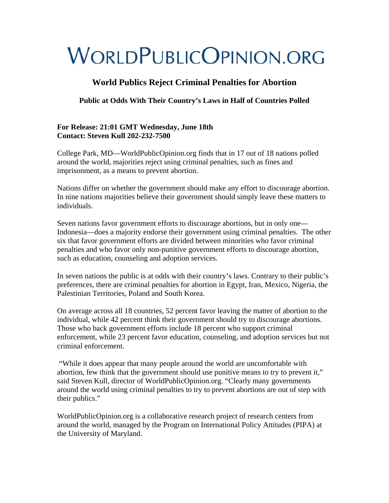## **World Publics Reject Criminal Penalties for Abortion**

**Public at Odds With Their Country's Laws in Half of Countries Polled** 

#### **For Release: 21:01 GMT Wednesday, June 18th Contact: Steven Kull 202-232-7500**

College Park, MD—WorldPublicOpinion.org finds that in 17 out of 18 nations polled around the world, majorities reject using criminal penalties, such as fines and imprisonment, as a means to prevent abortion.

Nations differ on whether the government should make any effort to discourage abortion. In nine nations majorities believe their government should simply leave these matters to individuals.

Seven nations favor government efforts to discourage abortions, but in only one— Indonesia—does a majority endorse their government using criminal penalties. The other six that favor government efforts are divided between minorities who favor criminal penalties and who favor only non-punitive government efforts to discourage abortion, such as education, counseling and adoption services.

In seven nations the public is at odds with their country's laws. Contrary to their public's preferences, there are criminal penalties for abortion in Egypt, Iran, Mexico, Nigeria, the Palestinian Territories, Poland and South Korea.

On average across all 18 countries, 52 percent favor leaving the matter of abortion to the individual, while 42 percent think their government should try to discourage abortions. Those who back government efforts include 18 percent who support criminal enforcement, while 23 percent favor education, counseling, and adoption services but not criminal enforcement.

 "While it does appear that many people around the world are uncomfortable with abortion, few think that the government should use punitive means to try to prevent it," said Steven Kull, director of WorldPublicOpinion.org. "Clearly many governments around the world using criminal penalties to try to prevent abortions are out of step with their publics."

WorldPublicOpinion.org is a collaborative research project of research centers from around the world, managed by the Program on International Policy Attitudes (PIPA) at the University of Maryland.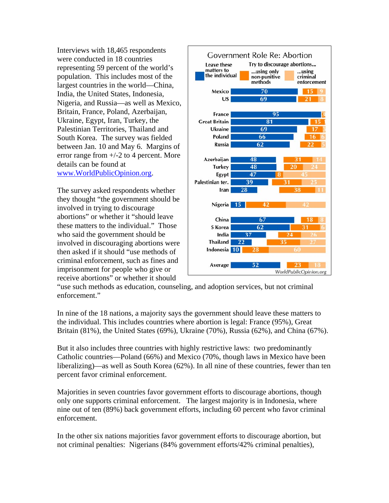Interviews with 18,465 respondents were conducted in 18 countries representing 59 percent of the world's population. This includes most of the largest countries in the world—China, India, the United States, Indonesia, Nigeria, and Russia—as well as Mexico, Britain, France, Poland, Azerbaijan, Ukraine, Egypt, Iran, Turkey, the Palestinian Territories, Thailand and South Korea. The survey was fielded between Jan. 10 and May 6. Margins of error range from +/-2 to 4 percent. More details can be found at [www.WorldPublicOpinion.org.](http://www.worldpublicopinion.org/)

The survey asked respondents whether they thought "the government should be involved in trying to discourage abortions" or whether it "should leave these matters to the individual." Those who said the government should be involved in discouraging abortions were then asked if it should "use methods of criminal enforcement, such as fines and imprisonment for people who give or receive abortions" or whether it should



"use such methods as education, counseling, and adoption services, but not criminal enforcement."

In nine of the 18 nations, a majority says the government should leave these matters to the individual. This includes countries where abortion is legal: France (95%), Great Britain (81%), the United States (69%), Ukraine (70%), Russia (62%), and China (67%).

But it also includes three countries with highly restrictive laws: two predominantly Catholic countries—Poland (66%) and Mexico (70%, though laws in Mexico have been liberalizing)—as well as South Korea (62%). In all nine of these countries, fewer than ten percent favor criminal enforcement.

Majorities in seven countries favor government efforts to discourage abortions, though only one supports criminal enforcement. The largest majority is in Indonesia, where nine out of ten (89%) back government efforts, including 60 percent who favor criminal enforcement.

In the other six nations majorities favor government efforts to discourage abortion, but not criminal penalties: Nigerians (84% government efforts/42% criminal penalties),